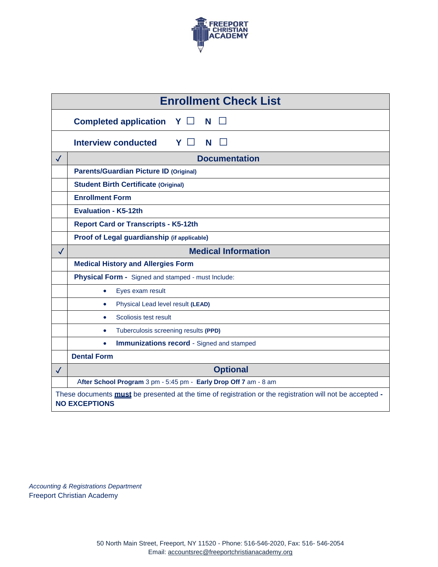

|              | <b>Enrollment Check List</b>                                                                                                     |  |  |  |  |  |  |  |  |
|--------------|----------------------------------------------------------------------------------------------------------------------------------|--|--|--|--|--|--|--|--|
|              | <b>Completed application</b><br>Y.<br>$\perp$<br>N                                                                               |  |  |  |  |  |  |  |  |
|              | <b>Interview conducted</b><br>Υ<br>N                                                                                             |  |  |  |  |  |  |  |  |
| $\checkmark$ | <b>Documentation</b>                                                                                                             |  |  |  |  |  |  |  |  |
|              | <b>Parents/Guardian Picture ID (Original)</b>                                                                                    |  |  |  |  |  |  |  |  |
|              | <b>Student Birth Certificate (Original)</b>                                                                                      |  |  |  |  |  |  |  |  |
|              | <b>Enrollment Form</b>                                                                                                           |  |  |  |  |  |  |  |  |
|              | <b>Evaluation - K5-12th</b>                                                                                                      |  |  |  |  |  |  |  |  |
|              | <b>Report Card or Transcripts - K5-12th</b>                                                                                      |  |  |  |  |  |  |  |  |
|              | Proof of Legal guardianship (if applicable)                                                                                      |  |  |  |  |  |  |  |  |
| $\checkmark$ | <b>Medical Information</b>                                                                                                       |  |  |  |  |  |  |  |  |
|              | <b>Medical History and Allergies Form</b>                                                                                        |  |  |  |  |  |  |  |  |
|              | Physical Form - Signed and stamped - must Include:                                                                               |  |  |  |  |  |  |  |  |
|              | Eyes exam result<br>$\bullet$                                                                                                    |  |  |  |  |  |  |  |  |
|              | Physical Lead level result (LEAD)<br>$\bullet$                                                                                   |  |  |  |  |  |  |  |  |
|              | Scoliosis test result<br>$\bullet$                                                                                               |  |  |  |  |  |  |  |  |
|              | Tuberculosis screening results (PPD)<br>$\bullet$                                                                                |  |  |  |  |  |  |  |  |
|              | <b>Immunizations record - Signed and stamped</b><br>$\bullet$                                                                    |  |  |  |  |  |  |  |  |
|              | <b>Dental Form</b>                                                                                                               |  |  |  |  |  |  |  |  |
| $\checkmark$ | <b>Optional</b>                                                                                                                  |  |  |  |  |  |  |  |  |
|              | After School Program 3 pm - 5:45 pm - Early Drop Off 7 am - 8 am                                                                 |  |  |  |  |  |  |  |  |
|              | These documents must be presented at the time of registration or the registration will not be accepted -<br><b>NO EXCEPTIONS</b> |  |  |  |  |  |  |  |  |

*Accounting & Registrations Department* Freeport Christian Academy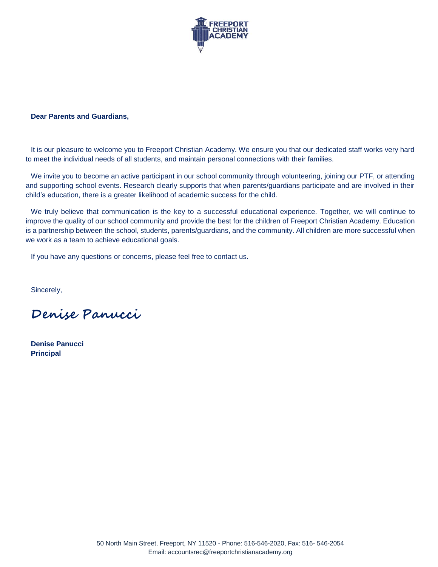

#### **Dear Parents and Guardians,**

It is our pleasure to welcome you to Freeport Christian Academy. We ensure you that our dedicated staff works very hard to meet the individual needs of all students, and maintain personal connections with their families.

We invite you to become an active participant in our school community through volunteering, joining our PTF, or attending and supporting school events. Research clearly supports that when parents/guardians participate and are involved in their child's education, there is a greater likelihood of academic success for the child.

We truly believe that communication is the key to a successful educational experience. Together, we will continue to improve the quality of our school community and provide the best for the children of Freeport Christian Academy. Education is a partnership between the school, students, parents/guardians, and the community. All children are more successful when we work as a team to achieve educational goals.

If you have any questions or concerns, please feel free to contact us.

Sincerely,

**Denise Panucci** 

**Denise Panucci Principal**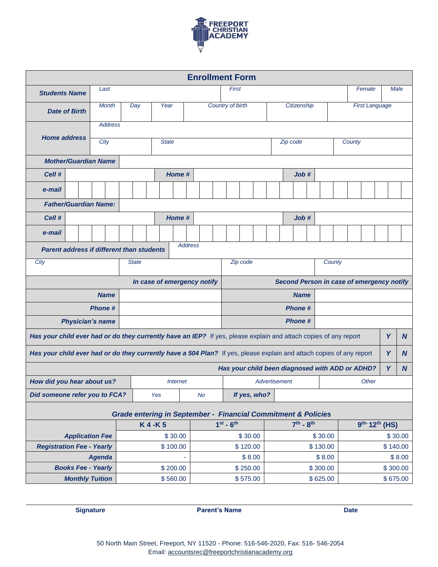

| <b>Enrollment Form</b>                                                                                               |                                                                          |               |                             |                        |              |         |              |                |                                           |                    |                                                 |          |             |             |  |          |                                 |                       |          |          |         |        |  |          |              |
|----------------------------------------------------------------------------------------------------------------------|--------------------------------------------------------------------------|---------------|-----------------------------|------------------------|--------------|---------|--------------|----------------|-------------------------------------------|--------------------|-------------------------------------------------|----------|-------------|-------------|--|----------|---------------------------------|-----------------------|----------|----------|---------|--------|--|----------|--------------|
| <b>Students Name</b>                                                                                                 |                                                                          |               | Last                        |                        |              |         |              |                |                                           |                    |                                                 | First    |             |             |  |          |                                 |                       |          |          |         | Female |  | Male     |              |
| <b>Date of Birth</b>                                                                                                 |                                                                          |               | <b>Month</b>                | Year<br>Day            |              |         |              |                | Country of birth                          |                    |                                                 |          | Citizenship |             |  |          |                                 | <b>First Language</b> |          |          |         |        |  |          |              |
|                                                                                                                      |                                                                          |               | <b>Address</b>              |                        |              |         |              |                |                                           |                    |                                                 |          |             |             |  |          |                                 |                       |          |          |         |        |  |          |              |
| <b>Home address</b>                                                                                                  |                                                                          |               | City                        |                        |              |         | <b>State</b> |                |                                           |                    |                                                 | Zip code |             |             |  |          | County                          |                       |          |          |         |        |  |          |              |
|                                                                                                                      | <b>Mother/Guardian Name</b>                                              |               |                             |                        |              |         |              |                |                                           |                    |                                                 |          |             |             |  |          |                                 |                       |          |          |         |        |  |          |              |
| Cell #                                                                                                               |                                                                          |               |                             |                        |              |         | Home #       |                |                                           |                    |                                                 |          |             |             |  |          | Job#                            |                       |          |          |         |        |  |          |              |
| e-mail                                                                                                               |                                                                          |               |                             |                        |              |         |              |                |                                           |                    |                                                 |          |             |             |  |          |                                 |                       |          |          |         |        |  |          |              |
|                                                                                                                      | <b>Father/Guardian Name:</b>                                             |               |                             |                        |              |         |              |                |                                           |                    |                                                 |          |             |             |  |          |                                 |                       |          |          |         |        |  |          |              |
| Cell #                                                                                                               |                                                                          |               |                             |                        |              |         | Home #       |                |                                           |                    |                                                 |          |             |             |  |          | Job#                            |                       |          |          |         |        |  |          |              |
| e-mail                                                                                                               |                                                                          |               |                             |                        |              |         |              |                |                                           |                    |                                                 |          |             |             |  |          |                                 |                       |          |          |         |        |  |          |              |
| <b>Parent address if different than students</b>                                                                     |                                                                          |               |                             |                        |              |         |              | <b>Address</b> |                                           |                    |                                                 |          |             |             |  |          |                                 |                       |          |          |         |        |  |          |              |
| City                                                                                                                 |                                                                          |               |                             |                        | <b>State</b> |         |              |                |                                           | Zip code<br>County |                                                 |          |             |             |  |          |                                 |                       |          |          |         |        |  |          |              |
|                                                                                                                      |                                                                          |               | In case of emergency notify |                        |              |         |              |                | Second Person in case of emergency notify |                    |                                                 |          |             |             |  |          |                                 |                       |          |          |         |        |  |          |              |
|                                                                                                                      |                                                                          |               | <b>Name</b>                 |                        |              |         |              |                |                                           |                    |                                                 |          |             |             |  |          | <b>Name</b>                     |                       |          |          |         |        |  |          |              |
|                                                                                                                      |                                                                          | <b>Phone#</b> |                             |                        |              |         |              |                |                                           |                    |                                                 |          |             |             |  |          | <b>Phone#</b>                   |                       |          |          |         |        |  |          |              |
|                                                                                                                      | <b>Physician's name</b>                                                  |               |                             |                        |              |         |              |                |                                           |                    |                                                 |          |             |             |  |          | <b>Phone#</b>                   |                       |          |          |         |        |  |          |              |
| Has your child ever had or do they currently have an IEP? If yes, please explain and attach copies of any report     |                                                                          |               |                             |                        |              |         |              |                |                                           |                    |                                                 |          |             |             |  |          |                                 |                       |          |          |         |        |  | Y        | <sub>N</sub> |
| Has your child ever had or do they currently have a 504 Plan? If yes, please explain and attach copies of any report |                                                                          |               |                             |                        |              |         |              |                |                                           |                    |                                                 |          |             |             |  |          |                                 |                       |          |          |         |        |  | Y        | N            |
|                                                                                                                      |                                                                          |               |                             |                        |              |         |              |                |                                           |                    | Has your child been diagnosed with ADD or ADHD? |          |             |             |  |          |                                 |                       |          |          |         |        |  | Y        | <b>N</b>     |
| How did you hear about us?                                                                                           |                                                                          |               |                             | <i><b>Internet</b></i> |              |         |              |                |                                           |                    | Advertisement                                   |          |             |             |  | Other    |                                 |                       |          |          |         |        |  |          |              |
| Did someone refer you to FCA?                                                                                        |                                                                          |               |                             |                        |              | Yes     | No           |                |                                           |                    | If yes, who?                                    |          |             |             |  |          |                                 |                       |          |          |         |        |  |          |              |
|                                                                                                                      | <b>Grade entering in September - Financial Commitment &amp; Policies</b> |               |                             |                        |              |         |              |                |                                           |                    |                                                 |          |             |             |  |          |                                 |                       |          |          |         |        |  |          |              |
|                                                                                                                      |                                                                          |               |                             |                        | K4-K5        |         |              |                |                                           | $1^{st} - 6^{th}$  |                                                 |          |             | $7th - 8th$ |  |          | $9^{th}$ -12 <sup>th</sup> (HS) |                       |          |          |         |        |  |          |              |
| <b>Application Fee</b>                                                                                               |                                                                          |               |                             |                        |              | \$30.00 |              |                |                                           |                    | \$30.00                                         |          |             |             |  |          | \$30.00                         |                       |          |          | \$30.00 |        |  |          |              |
| <b>Registration Fee - Yearly</b>                                                                                     |                                                                          |               |                             | \$100.00               |              |         |              | \$120.00       |                                           |                    |                                                 | \$130.00 |             |             |  | \$140.00 |                                 |                       |          |          |         |        |  |          |              |
|                                                                                                                      |                                                                          | <b>Agenda</b> |                             |                        |              |         |              |                |                                           | \$8.00             |                                                 |          |             |             |  | \$8.00   |                                 |                       |          | \$8.00   |         |        |  |          |              |
| <b>Books Fee - Yearly</b>                                                                                            |                                                                          |               |                             |                        | \$200.00     |         |              |                |                                           | \$250.00           |                                                 |          |             |             |  | \$300.00 |                                 |                       |          | \$300.00 |         |        |  |          |              |
| <b>Monthly Tuition</b>                                                                                               |                                                                          |               |                             |                        |              |         | \$560.00     |                |                                           |                    |                                                 |          | \$575.00    |             |  |          |                                 |                       | \$625.00 |          |         |        |  | \$675.00 |              |

**Signature Parent's Name Date**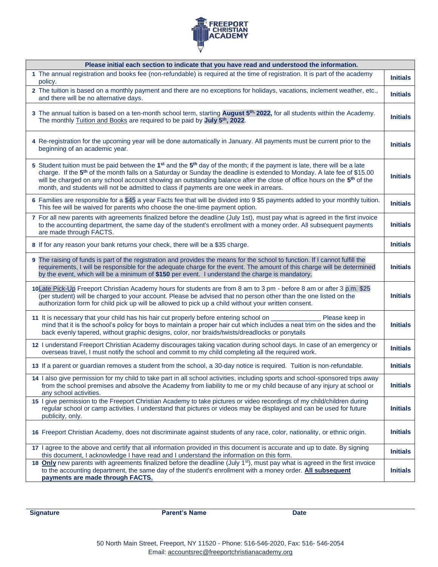

| Please initial each section to indicate that you have read and understood the information.                                                                                                                                                                                                                                                                                                                                                                                                                 |                 |
|------------------------------------------------------------------------------------------------------------------------------------------------------------------------------------------------------------------------------------------------------------------------------------------------------------------------------------------------------------------------------------------------------------------------------------------------------------------------------------------------------------|-----------------|
| 1 The annual registration and books fee (non-refundable) is required at the time of registration. It is part of the academy<br>policy.                                                                                                                                                                                                                                                                                                                                                                     | <b>Initials</b> |
| 2 The tuition is based on a monthly payment and there are no exceptions for holidays, vacations, inclement weather, etc.,<br>and there will be no alternative days.                                                                                                                                                                                                                                                                                                                                        | <b>Initials</b> |
| 3 The annual tuition is based on a ten-month school term, starting August 5th, 2022, for all students within the Academy.<br>The monthly Tuition and Books are required to be paid by July 5 <sup>th</sup> , 2022.                                                                                                                                                                                                                                                                                         | <b>Initials</b> |
| 4 Re-registration for the upcoming year will be done automatically in January. All payments must be current prior to the<br>beginning of an academic year.                                                                                                                                                                                                                                                                                                                                                 | <b>Initials</b> |
| 5 Student tuition must be paid between the $1^{st}$ and the $5^{th}$ day of the month; if the payment is late, there will be a late<br>charge. If the 5 <sup>th</sup> of the month falls on a Saturday or Sunday the deadline is extended to Monday. A late fee of \$15.00<br>will be charged on any school account showing an outstanding balance after the close of office hours on the 5 <sup>th</sup> of the<br>month, and students will not be admitted to class if payments are one week in arrears. | <b>Initials</b> |
| 6 Families are responsible for a \$45 a year Facts fee that will be divided into 9 \$5 payments added to your monthly tuition.<br>This fee will be waived for parents who choose the one-time payment option.                                                                                                                                                                                                                                                                                              | <b>Initials</b> |
| 7 For all new parents with agreements finalized before the deadline (July 1st), must pay what is agreed in the first invoice<br>to the accounting department, the same day of the student's enrollment with a money order. All subsequent payments<br>are made through FACTS.                                                                                                                                                                                                                              | <b>Initials</b> |
| 8 If for any reason your bank returns your check, there will be a \$35 charge.                                                                                                                                                                                                                                                                                                                                                                                                                             | <b>Initials</b> |
| 9 The raising of funds is part of the registration and provides the means for the school to function. If I cannot fulfill the<br>requirements, I will be responsible for the adequate charge for the event. The amount of this charge will be determined<br>by the event, which will be a minimum of \$150 per event. I understand the charge is mandatory.                                                                                                                                                | <b>Initials</b> |
| 10Late Pick-Up Freeport Christian Academy hours for students are from 8 am to 3 pm - before 8 am or after 3 p.m. \$25<br>(per student) will be charged to your account. Please be advised that no person other than the one listed on the<br>authorization form for child pick up will be allowed to pick up a child without your written consent.                                                                                                                                                         | <b>Initials</b> |
| 11 It is necessary that your child has his hair cut properly before entering school on ___________<br>Please keep in<br>mind that it is the school's policy for boys to maintain a proper hair cut which includes a neat trim on the sides and the<br>back evenly tapered, without graphic designs, color, nor braids/twists/dreadlocks or ponytails                                                                                                                                                       | <b>Initials</b> |
| 12 I understand Freeport Christian Academy discourages taking vacation during school days. In case of an emergency or<br>overseas travel, I must notify the school and commit to my child completing all the required work.                                                                                                                                                                                                                                                                                | <b>Initials</b> |
| 13 If a parent or guardian removes a student from the school, a 30-day notice is required. Tuition is non-refundable.                                                                                                                                                                                                                                                                                                                                                                                      | <b>Initials</b> |
| 14 I also give permission for my child to take part in all school activities, including sports and school-sponsored trips away<br>from the school premises and absolve the Academy from liability to me or my child because of any injury at school or<br>any school activities.                                                                                                                                                                                                                           | <b>Initials</b> |
| 15 I give permission to the Freeport Christian Academy to take pictures or video recordings of my child/children during<br>regular school or camp activities. I understand that pictures or videos may be displayed and can be used for future<br>publicity, only.                                                                                                                                                                                                                                         | <b>Initials</b> |
| 16 Freeport Christian Academy, does not discriminate against students of any race, color, nationality, or ethnic origin.                                                                                                                                                                                                                                                                                                                                                                                   | <b>Initials</b> |
| 17 I agree to the above and certify that all information provided in this document is accurate and up to date. By signing<br>this document, I acknowledge I have read and I understand the information on this form.                                                                                                                                                                                                                                                                                       | <b>Initials</b> |
| 18 Only new parents with agreements finalized before the deadline (July 1 <sup>st</sup> ), must pay what is agreed in the first invoice<br>to the accounting department, the same day of the student's enrollment with a money order. All subsequent<br>payments are made through FACTS.                                                                                                                                                                                                                   | <b>Initials</b> |

**Signature Date Parent's Name Date Date**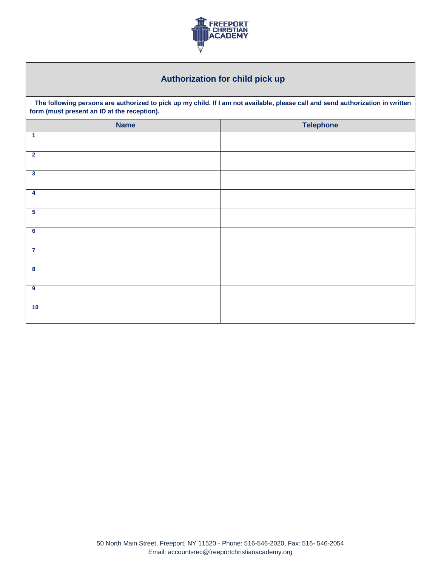

## **Authorization for child pick up**

**The following persons are authorized to pick up my child. If I am not available, please call and send authorization in written form (must present an ID at the reception).**

| <b>Name</b>             | <b>Telephone</b> |
|-------------------------|------------------|
| $\blacktriangleleft$    |                  |
| $\overline{2}$          |                  |
| $\overline{\mathbf{3}}$ |                  |
| $\overline{4}$          |                  |
| $5\overline{5}$         |                  |
| $6\overline{6}$         |                  |
| $\overline{7}$          |                  |
| $\overline{\mathbf{8}}$ |                  |
| $\overline{\mathbf{9}}$ |                  |
| 10                      |                  |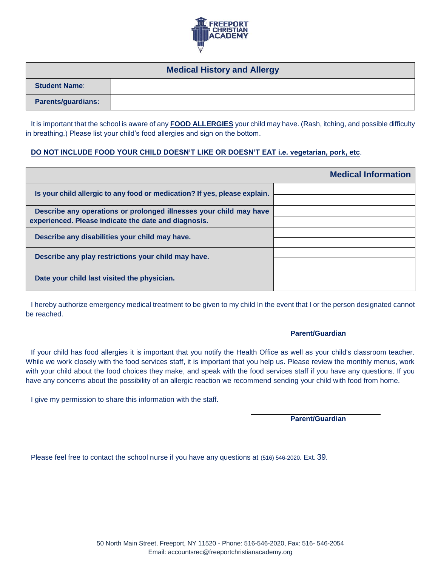

| <b>Medical History and Allergy</b> |  |  |  |  |  |  |  |
|------------------------------------|--|--|--|--|--|--|--|
| <b>Student Name:</b>               |  |  |  |  |  |  |  |
| <b>Parents/guardians:</b>          |  |  |  |  |  |  |  |

It is important that the school is aware of any **FOOD ALLERGIES** your child may have. (Rash, itching, and possible difficulty in breathing.) Please list your child's food allergies and sign on the bottom.

#### **DO NOT INCLUDE FOOD YOUR CHILD DOESN'T LIKE OR DOESN'T EAT i.e. vegetarian, pork, etc**.

|                                                                                                                            | <b>Medical Information</b> |
|----------------------------------------------------------------------------------------------------------------------------|----------------------------|
| Is your child allergic to any food or medication? If yes, please explain.                                                  |                            |
| Describe any operations or prolonged illnesses your child may have<br>experienced. Please indicate the date and diagnosis. |                            |
| Describe any disabilities your child may have.                                                                             |                            |
| Describe any play restrictions your child may have.                                                                        |                            |
| Date your child last visited the physician.                                                                                |                            |

I hereby authorize emergency medical treatment to be given to my child In the event that I or the person designated cannot be reached.

#### **Parent/Guardian**

If your child has food allergies it is important that you notify the Health Office as well as your child's classroom teacher. While we work closely with the food services staff, it is important that you help us. Please review the monthly menus, work with your child about the food choices they make, and speak with the food services staff if you have any questions. If you have any concerns about the possibility of an allergic reaction we recommend sending your child with food from home.

I give my permission to share this information with the staff.

**Parent/Guardian**

Please feel free to contact the school nurse if you have any questions at (516) 546-2020. Ext. 39.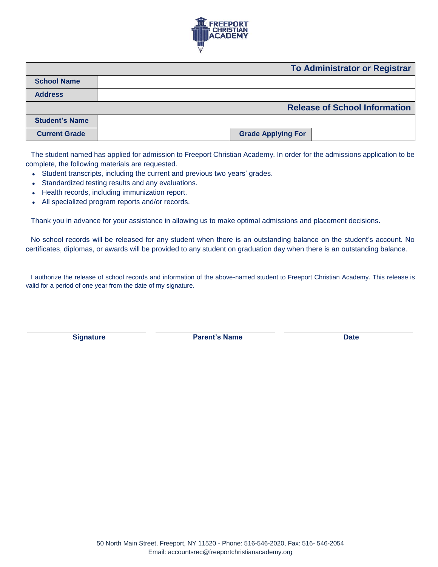

|                       | <b>To Administrator or Registrar</b> |
|-----------------------|--------------------------------------|
| <b>School Name</b>    |                                      |
| <b>Address</b>        |                                      |
|                       | <b>Release of School Information</b> |
| <b>Student's Name</b> |                                      |
| <b>Current Grade</b>  | <b>Grade Applying For</b>            |

The student named has applied for admission to Freeport Christian Academy. In order for the admissions application to be complete, the following materials are requested.

- Student transcripts, including the current and previous two years' grades.
- Standardized testing results and any evaluations.
- Health records, including immunization report.
- All specialized program reports and/or records.

Thank you in advance for your assistance in allowing us to make optimal admissions and placement decisions.

No school records will be released for any student when there is an outstanding balance on the student's account. No certificates, diplomas, or awards will be provided to any student on graduation day when there is an outstanding balance.

I authorize the release of school records and information of the above-named student to Freeport Christian Academy. This release is valid for a period of one year from the date of my signature.

**Signature Parent's Name Date**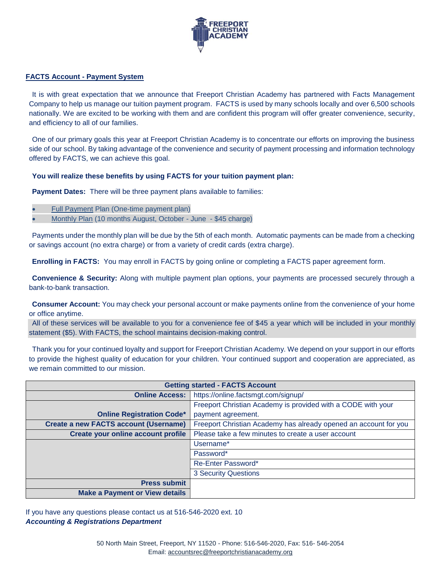

#### **FACTS Account - Payment System**

It is with great expectation that we announce that Freeport Christian Academy has partnered with Facts Management Company to help us manage our tuition payment program. FACTS is used by many schools locally and over 6,500 schools nationally. We are excited to be working with them and are confident this program will offer greater convenience, security, and efficiency to all of our families.

One of our primary goals this year at Freeport Christian Academy is to concentrate our efforts on improving the business side of our school. By taking advantage of the convenience and security of payment processing and information technology offered by FACTS, we can achieve this goal.

#### **You will realize these benefits by using FACTS for your tuition payment plan:**

**Payment Dates:** There will be three payment plans available to families:

- Full Payment Plan (One-time payment plan)
- Monthly Plan (10 months August, October June \$45 charge)

Payments under the monthly plan will be due by the 5th of each month. Automatic payments can be made from a checking or savings account (no extra charge) or from a variety of credit cards (extra charge).

**Enrolling in FACTS:** You may enroll in FACTS by going online or completing a FACTS paper agreement form.

**Convenience & Security:** Along with multiple payment plan options, your payments are processed securely through a bank-to-bank transaction.

**Consumer Account:** You may check your personal account or make payments online from the convenience of your home or office anytime.

All of these services will be available to you for a convenience fee of \$45 a year which will be included in your monthly statement (\$5). With FACTS, the school maintains decision-making control.

Thank you for your continued loyalty and support for Freeport Christian Academy. We depend on your support in our efforts to provide the highest quality of education for your children. Your continued support and cooperation are appreciated, as we remain committed to our mission.

| <b>Getting started - FACTS Account</b>       |                                                                  |  |  |  |  |  |  |
|----------------------------------------------|------------------------------------------------------------------|--|--|--|--|--|--|
| <b>Online Access:</b>                        | https://online.factsmgt.com/signup/                              |  |  |  |  |  |  |
|                                              | Freeport Christian Academy is provided with a CODE with your     |  |  |  |  |  |  |
| <b>Online Registration Code*</b>             | payment agreement.                                               |  |  |  |  |  |  |
| <b>Create a new FACTS account (Username)</b> | Freeport Christian Academy has already opened an account for you |  |  |  |  |  |  |
| Create your online account profile           | Please take a few minutes to create a user account               |  |  |  |  |  |  |
|                                              | Username*                                                        |  |  |  |  |  |  |
|                                              | Password*                                                        |  |  |  |  |  |  |
|                                              | Re-Enter Password*                                               |  |  |  |  |  |  |
|                                              | <b>3 Security Questions</b>                                      |  |  |  |  |  |  |
| <b>Press submit</b>                          |                                                                  |  |  |  |  |  |  |
| <b>Make a Payment or View details</b>        |                                                                  |  |  |  |  |  |  |

If you have any questions please contact us at 516-546-2020 ext. 10 *Accounting & Registrations Department*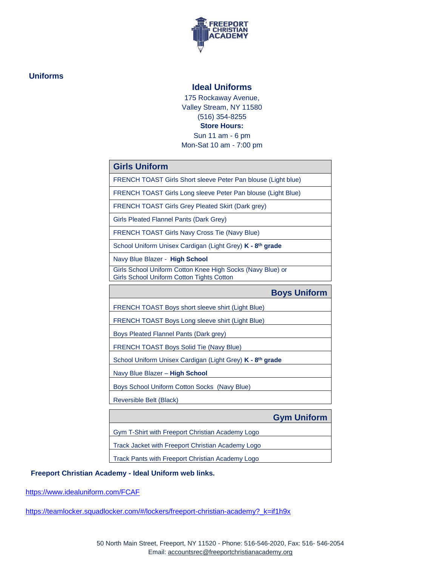

### **Uniforms**

#### **Ideal Uniforms**

175 Rockaway Avenue, Valley Stream, NY 11580 (516) 354-8255 **Store Hours:** Sun 11 am - 6 pm Mon-Sat 10 am - 7:00 pm

| <b>Girls Uniform</b> |
|----------------------|
|                      |
|                      |

FRENCH TOAST Girls Short sleeve Peter Pan blouse (Light blue)

FRENCH TOAST Girls Long sleeve Peter Pan blouse (Light Blue)

FRENCH TOAST Girls Grey Pleated Skirt (Dark grey)

Girls Pleated Flannel Pants (Dark Grey)

FRENCH TOAST Girls Navy Cross Tie (Navy Blue)

School Uniform Unisex Cardigan (Light Grey) **K - 8 th grade**

Navy Blue Blazer - **High School**

Girls School Uniform Cotton Knee High Socks (Navy Blue) or Girls School Uniform Cotton Tights Cotton

**Boys Uniform** FRENCH TOAST Boys short sleeve shirt (Light Blue)

FRENCH TOAST Boys Long sleeve shirt (Light Blue)

Boys Pleated Flannel Pants (Dark grey)

FRENCH TOAST Boys Solid Tie (Navy Blue)

School Uniform Unisex Cardigan (Light Grey) **K - 8 th grade**

Navy Blue Blazer – **High School**

Boys School Uniform Cotton Socks (Navy Blue)

Reversible Belt (Black)

**Gym Uniform**

Gym T-Shirt with Freeport Christian Academy Logo

Track Jacket with Freeport Christian Academy Logo

Track Pants with Freeport Christian Academy Logo

### **Freeport Christian Academy - Ideal Uniform web links.**

<https://www.idealuniform.com/FCAF>

https://teamlocker.squadlocker.com/#/lockers/freeport-christian-academy? k=if1h9x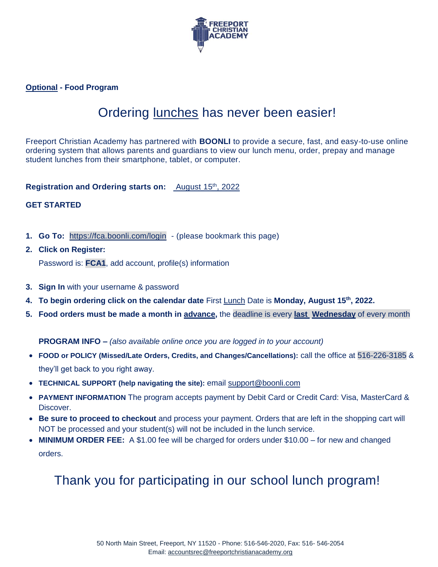

**Optional - Food Program** 

## Ordering lunches has never been easier!

Freeport Christian Academy has partnered with **BOONLI** to provide a secure, fast, and easy-to-use online ordering system that allows parents and guardians to view our lunch menu, order, prepay and manage student lunches from their smartphone, tablet, or computer.

Registration and Ordering starts on: **August 15th, 2022** 

## **GET STARTED**

- **1. Go To:** <https://fca.boonli.com/login> (please bookmark this page)
- **2. Click on Register:**  Password is: **FCA1**, add account, profile(s) information
- **3. Sign In** with your username & password
- **4. To begin ordering click on the calendar date** First Lunch Date is **Monday, August 15th , 2022.**
- **5. Food orders must be made a month in advance,** the deadline is every **last Wednesday** of every month

**PROGRAM INFO –** *(also available online once you are logged in to your account)*

- **FOOD or POLICY (Missed/Late Orders, Credits, and Changes/Cancellations):** call the office at 516-226-3185 & they'll get back to you right away.
- **TECHNICAL SUPPORT (help navigating the site):** email [support@boonli.com](mailto:support@orderlunches.com)
- **PAYMENT INFORMATION** The program accepts payment by Debit Card or Credit Card: Visa, MasterCard & Discover.
- **Be sure to proceed to checkout** and process your payment. Orders that are left in the shopping cart will NOT be processed and your student(s) will not be included in the lunch service.
- **MINIMUM ORDER FEE:** A \$1.00 fee will be charged for orders under \$10.00 for new and changed orders.

# Thank you for participating in our school lunch program!